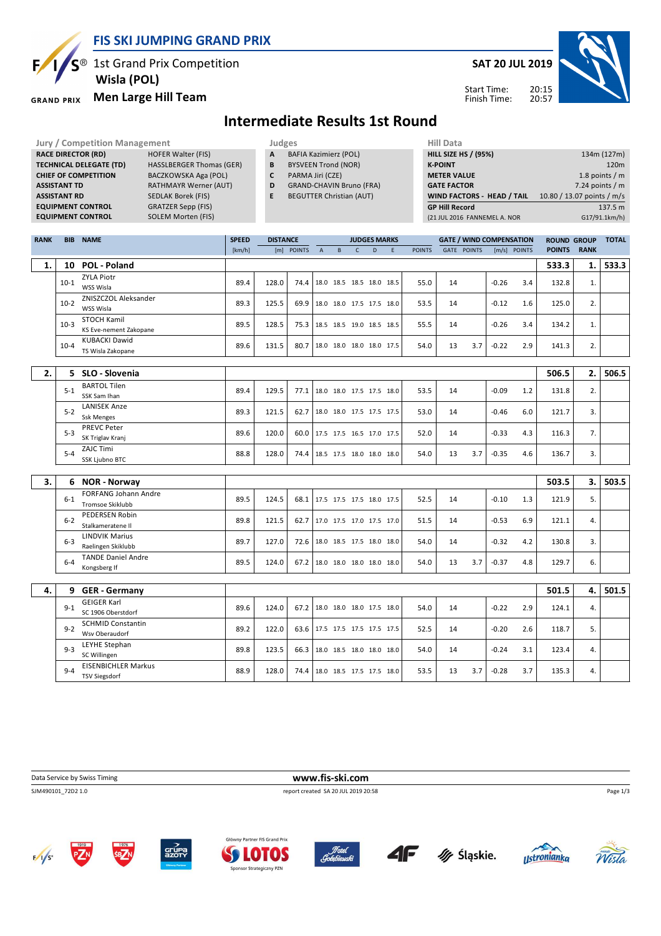

 $S^{\circledast}$  1st Grand Prix Competition  **Wisla (POL)**

### **Men Large Hill Team GRAND PRIX**

Б

**SAT 20 JUL 2019**



Start Time: Finish Time:

## **Intermediate Results 1st Round**

| <b>Jury / Competition Management</b> |                                 |   | Judges                          | <b>Hill Data</b>   |
|--------------------------------------|---------------------------------|---|---------------------------------|--------------------|
| <b>RACE DIRECTOR (RD)</b>            | <b>HOFER Walter (FIS)</b>       | A | <b>BAFIA Kazimierz (POL)</b>    | <b>HILL SIZE I</b> |
| <b>TECHNICAL DELEGATE (TD)</b>       | <b>HASSLBERGER Thomas (GER)</b> | B | <b>BYSVEEN Trond (NOR)</b>      | <b>K-POINT</b>     |
| <b>CHIEF OF COMPETITION</b>          | BACZKOWSKA Aga (POL)            | C | PARMA Jiri (CZE)                | <b>METER VA</b>    |
| <b>ASSISTANT TD</b>                  | <b>RATHMAYR Werner (AUT)</b>    | D | <b>GRAND-CHAVIN Bruno (FRA)</b> | <b>GATE FACT</b>   |
| <b>ASSISTANT RD</b>                  | <b>SEDLAK Borek (FIS)</b>       | E | <b>BEGUTTER Christian (AUT)</b> | <b>WIND FAC</b>    |
| <b>EQUIPMENT CONTROL</b>             | <b>GRATZER Sepp (FIS)</b>       |   |                                 | <b>GP Hill Red</b> |
| <b>EQUIPMENT CONTROL</b>             | <b>SOLEM Morten (FIS)</b>       |   |                                 | (21 JUL 2016       |

| Hill Data                    |                            |
|------------------------------|----------------------------|
| <b>HILL SIZE HS / (95%)</b>  | 134m (127m)                |
| <b>K-POINT</b>               | 120 <sub>m</sub>           |
| <b>METER VALUE</b>           | 1.8 points $/m$            |
| <b>GATE FACTOR</b>           | 7.24 points $/m$           |
| WIND FACTORS - HEAD / TAIL   | 10.80 / 13.07 points / m/s |
| <b>GP Hill Record</b>        | 137.5 m                    |
| (21 JUL 2016 FANNEMEL A. NOR | G17/91.1km/h)              |
|                              |                            |

| <b>RANK</b> | <b>BIB</b> | <b>NAME</b>                                        | <b>SPEED</b><br><b>DISTANCE</b><br><b>JUDGES MARKS</b><br><b>GATE / WIND COMPENSATION</b> |       |            |                                 |              | <b>ROUND GROUP</b>       |   | <b>TOTAL</b> |               |    |                    |         |              |               |             |       |
|-------------|------------|----------------------------------------------------|-------------------------------------------------------------------------------------------|-------|------------|---------------------------------|--------------|--------------------------|---|--------------|---------------|----|--------------------|---------|--------------|---------------|-------------|-------|
|             |            |                                                    | [km/h]                                                                                    |       | [m] POINTS | $\overline{A}$                  | $\, {\bf B}$ | $\mathsf{C}$             | D | F.           | <b>POINTS</b> |    | <b>GATE POINTS</b> |         | [m/s] POINTS | <b>POINTS</b> | <b>RANK</b> |       |
| 1.          | 10         | <b>POL - Poland</b>                                |                                                                                           |       |            |                                 |              |                          |   |              |               |    |                    |         |              | 533.3         | 1.          | 533.3 |
|             | $10-1$     | <b>ZYLA Piotr</b><br>WSS Wisla                     | 89.4                                                                                      | 128.0 | 74.4       | 18.0 18.5 18.5 18.0 18.5        |              |                          |   |              | 55.0          | 14 |                    | $-0.26$ | 3.4          | 132.8         | 1.          |       |
|             | $10-2$     | ZNISZCZOL Aleksander<br>WSS Wisla                  | 89.3                                                                                      | 125.5 | 69.9       | 18.0 18.0 17.5 17.5 18.0        |              |                          |   |              | 53.5          | 14 |                    | $-0.12$ | 1.6          | 125.0         | 2.          |       |
|             | $10-3$     | STOCH Kamil<br>KS Eve-nement Zakopane              | 89.5                                                                                      | 128.5 | 75.3       | 18.5 18.5 19.0 18.5 18.5        |              |                          |   |              | 55.5          | 14 |                    | $-0.26$ | 3.4          | 134.2         | 1.          |       |
|             | $10 - 4$   | <b>KUBACKI Dawid</b><br>TS Wisla Zakopane          | 89.6                                                                                      | 131.5 | 80.7       | 18.0 18.0 18.0 18.0 17.5        |              |                          |   |              | 54.0          | 13 | 3.7                | $-0.22$ | 2.9          | 141.3         | 2.          |       |
| 2.          |            | 5 SLO - Slovenia                                   |                                                                                           |       |            |                                 |              |                          |   |              |               |    |                    |         |              | 506.5         | 2.          | 506.5 |
|             | $5 - 1$    | <b>BARTOL Tilen</b><br>SSK Sam Ihan                | 89.4                                                                                      | 129.5 | 77.1       | 18.0 18.0 17.5 17.5 18.0        |              |                          |   |              | 53.5          | 14 |                    | $-0.09$ | 1.2          | 131.8         | 2.          |       |
|             | $5 - 2$    | <b>LANISEK Anze</b><br><b>Ssk Menges</b>           | 89.3                                                                                      | 121.5 | 62.7       |                                 |              | 18.0 18.0 17.5 17.5 17.5 |   |              | 53.0          | 14 |                    | $-0.46$ | 6.0          | 121.7         | 3.          |       |
|             | $5-3$      | <b>PREVC Peter</b><br>SK Triglav Kranj             | 89.6                                                                                      | 120.0 | 60.0       | 17.5 17.5 16.5 17.0 17.5        |              |                          |   |              | 52.0          | 14 |                    | $-0.33$ | 4.3          | 116.3         | 7.          |       |
|             | $5 - 4$    | ZAJC Timi<br>SSK Ljubno BTC                        | 88.8                                                                                      | 128.0 | 74.4       | 18.5 17.5 18.0 18.0 18.0        |              |                          |   |              | 54.0          | 13 | 3.7                | $-0.35$ | 4.6          | 136.7         | 3.          |       |
|             |            |                                                    |                                                                                           |       |            |                                 |              |                          |   |              |               |    |                    |         |              |               |             |       |
| 3.          | 6          | <b>NOR - Norway</b>                                |                                                                                           |       |            |                                 |              |                          |   |              |               |    |                    |         |              | 503.5         | 3.          | 503.5 |
|             | $6 - 1$    | <b>FORFANG Johann Andre</b><br>Tromsoe Skiklubb    | 89.5                                                                                      | 124.5 | 68.1       | 17.5 17.5 17.5 18.0 17.5        |              |                          |   |              | 52.5          | 14 |                    | $-0.10$ | 1.3          | 121.9         | 5.          |       |
|             | $6 - 2$    | <b>PEDERSEN Robin</b><br>Stalkameratene II         | 89.8                                                                                      | 121.5 | 62.7       | 17.0 17.5 17.0 17.5 17.0        |              |                          |   |              | 51.5          | 14 |                    | $-0.53$ | 6.9          | 121.1         | 4.          |       |
|             | $6 - 3$    | <b>LINDVIK Marius</b><br>Raelingen Skiklubb        | 89.7                                                                                      | 127.0 | 72.6       |                                 |              | 18.0 18.5 17.5 18.0 18.0 |   |              | 54.0          | 14 |                    | $-0.32$ | 4.2          | 130.8         | 3.          |       |
|             | $6-4$      | <b>TANDE Daniel Andre</b><br>Kongsberg If          | 89.5                                                                                      | 124.0 | 67.2       | 18.0 18.0 18.0 18.0 18.0        |              |                          |   |              | 54.0          | 13 | 3.7                | $-0.37$ | 4.8          | 129.7         | 6.          |       |
|             |            |                                                    |                                                                                           |       |            |                                 |              |                          |   |              |               |    |                    |         |              |               |             |       |
| 4.          |            | 9 GER - Germany                                    |                                                                                           |       |            |                                 |              |                          |   |              |               |    |                    |         |              | 501.5         | 4.          | 501.5 |
|             | $9 - 1$    | <b>GEIGER Karl</b><br>SC 1906 Oberstdorf           | 89.6                                                                                      | 124.0 | 67.2       |                                 |              | 18.0 18.0 18.0 17.5 18.0 |   |              | 54.0          | 14 |                    | $-0.22$ | 2.9          | 124.1         | 4.          |       |
|             | $9 - 2$    | <b>SCHMID Constantin</b><br>Wsv Oberaudorf         | 89.2                                                                                      | 122.0 | 63.6       | 17.5 17.5 17.5 17.5 17.5        |              |                          |   |              | 52.5          | 14 |                    | $-0.20$ | 2.6          | 118.7         | 5.          |       |
|             | $9 - 3$    | LEYHE Stephan<br>SC Willingen                      | 89.8                                                                                      | 123.5 | 66.3       | 18.0 18.5 18.0 18.0 18.0        |              |                          |   |              | 54.0          | 14 |                    | $-0.24$ | 3.1          | 123.4         | 4.          |       |
|             | $9 - 4$    | <b>EISENBICHLER Markus</b><br><b>TSV Siegsdorf</b> | 88.9                                                                                      | 128.0 |            | 74.4   18.0 18.5 17.5 17.5 18.0 |              |                          |   |              | 53.5          | 13 | 3.7                | $-0.28$ | 3.7          | 135.3         | 4.          |       |

**Data Service by Swiss Timing WWW.fis-ski.com** 

SJM490101\_72D2 1.0 report created SA 20 JUL 2019 20:58















Page 1/3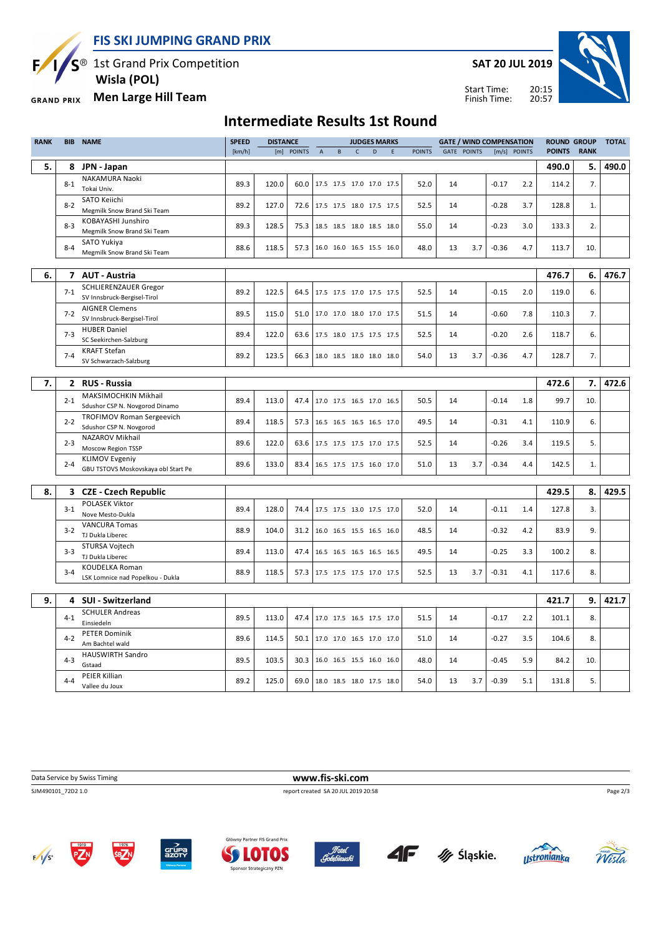**FIS SKI JUMPING GRAND PRIX**

S<sup>®</sup> 1st Grand Prix Competition

 **Wisla (POL)**

### **Men Large Hill Team GRAND PRIX**

Ę

### **SAT 20 JUL 2019**



20:15 Start Time: Finish Time:

## **Intermediate Results 1st Round**

| <b>RANK</b> | <b>BIB</b> | <b>NAME</b>                                   | <b>SPEED</b> | <b>DISTANCE</b><br><b>JUDGES MARKS</b><br><b>GATE / WIND COMPENSATION</b> |            |                          | <b>ROUND GROUP</b>       |              | <b>TOTAL</b> |   |               |    |                    |         |              |               |             |       |
|-------------|------------|-----------------------------------------------|--------------|---------------------------------------------------------------------------|------------|--------------------------|--------------------------|--------------|--------------|---|---------------|----|--------------------|---------|--------------|---------------|-------------|-------|
|             |            |                                               | [km/h]       |                                                                           | [m] POINTS | $\mathsf A$              | $\mathsf{B}$             | $\mathsf{C}$ | D            | E | <b>POINTS</b> |    | <b>GATE POINTS</b> |         | [m/s] POINTS | <b>POINTS</b> | <b>RANK</b> |       |
| 5.          | 8          | JPN - Japan                                   |              |                                                                           |            |                          |                          |              |              |   |               |    |                    |         |              | 490.0         | 5.          | 490.0 |
|             |            | NAKAMURA Naoki                                |              |                                                                           |            |                          |                          |              |              |   |               |    |                    |         |              |               |             |       |
|             | $8 - 1$    | Tokai Univ.                                   | 89.3         | 120.0                                                                     | 60.0       |                          | 17.5 17.5 17.0 17.0 17.5 |              |              |   | 52.0          | 14 |                    | $-0.17$ | 2.2          | 114.2         | 7.          |       |
|             | $8 - 2$    | SATO Keiichi                                  | 89.2         | 127.0                                                                     |            |                          |                          |              |              |   |               | 14 |                    |         |              |               |             |       |
|             |            | Megmilk Snow Brand Ski Team                   |              |                                                                           | 72.6       |                          | 17.5 17.5 18.0 17.5 17.5 |              |              |   | 52.5          |    |                    | $-0.28$ | 3.7          | 128.8         | 1.          |       |
|             | $8-3$      | KOBAYASHI Junshiro                            | 89.3         | 128.5                                                                     | 75.3       |                          | 18.5 18.5 18.0 18.5 18.0 |              |              |   | 55.0          | 14 |                    | $-0.23$ | 3.0          | 133.3         | 2.          |       |
|             |            | Megmilk Snow Brand Ski Team                   |              |                                                                           |            |                          |                          |              |              |   |               |    |                    |         |              |               |             |       |
|             | $8 - 4$    | SATO Yukiya                                   | 88.6         | 118.5                                                                     | 57.3       |                          | 16.0 16.0 16.5 15.5 16.0 |              |              |   | 48.0          | 13 | 3.7                | $-0.36$ | 4.7          | 113.7         | 10.         |       |
|             |            | Megmilk Snow Brand Ski Team                   |              |                                                                           |            |                          |                          |              |              |   |               |    |                    |         |              |               |             |       |
|             |            |                                               |              |                                                                           |            |                          |                          |              |              |   |               |    |                    |         |              |               |             |       |
| 6.          | 7          | <b>AUT - Austria</b>                          |              |                                                                           |            |                          |                          |              |              |   |               |    |                    |         |              | 476.7         | 6.          | 476.7 |
|             | $7-1$      | <b>SCHLIERENZAUER Gregor</b>                  | 89.2         | 122.5                                                                     | 64.5       | 17.5 17.5 17.0 17.5 17.5 |                          |              |              |   | 52.5          | 14 |                    | $-0.15$ | 2.0          | 119.0         | 6.          |       |
|             |            | SV Innsbruck-Bergisel-Tirol                   |              |                                                                           |            |                          |                          |              |              |   |               |    |                    |         |              |               |             |       |
|             | $7 - 2$    | <b>AIGNER Clemens</b>                         | 89.5         | 115.0                                                                     | 51.0       |                          | 17.0 17.0 18.0 17.0 17.5 |              |              |   | 51.5          | 14 |                    | $-0.60$ | 7.8          | 110.3         | 7.          |       |
|             |            | SV Innsbruck-Bergisel-Tirol                   |              |                                                                           |            |                          |                          |              |              |   |               |    |                    |         |              |               |             |       |
|             | $7 - 3$    | <b>HUBER Daniel</b><br>SC Seekirchen-Salzburg | 89.4         | 122.0                                                                     | 63.6       |                          | 17.5 18.0 17.5 17.5 17.5 |              |              |   | 52.5          | 14 |                    | $-0.20$ | 2.6          | 118.7         | 6.          |       |
|             |            | <b>KRAFT Stefan</b>                           |              |                                                                           |            |                          |                          |              |              |   |               |    |                    |         |              |               |             |       |
|             | $7 - 4$    | SV Schwarzach-Salzburg                        | 89.2         | 123.5                                                                     | 66.3       |                          | 18.0 18.5 18.0 18.0 18.0 |              |              |   | 54.0          | 13 | 3.7                | $-0.36$ | 4.7          | 128.7         | 7.          |       |
|             |            |                                               |              |                                                                           |            |                          |                          |              |              |   |               |    |                    |         |              |               |             |       |
| 7.          |            | 2 RUS - Russia                                |              |                                                                           |            |                          |                          |              |              |   |               |    |                    |         |              | 472.6         | 7.          | 472.6 |
|             |            | MAKSIMOCHKIN Mikhail                          |              |                                                                           |            |                          |                          |              |              |   |               |    |                    |         |              |               |             |       |
|             | $2 - 1$    | Sdushor CSP N. Novgorod Dinamo                | 89.4         | 113.0                                                                     | 47.4       |                          | 17.0 17.5 16.5 17.0 16.5 |              |              |   | 50.5          | 14 |                    | $-0.14$ | 1.8          | 99.7          | 10.         |       |
|             |            | <b>TROFIMOV Roman Sergeevich</b>              |              |                                                                           |            |                          |                          |              |              |   |               |    |                    |         |              |               |             |       |
|             | $2 - 2$    | Sdushor CSP N. Novgorod                       | 89.4         | 118.5                                                                     | 57.3       |                          | 16.5 16.5 16.5 16.5 17.0 |              |              |   | 49.5          | 14 |                    | $-0.31$ | 4.1          | 110.9         | 6.          |       |
|             |            | NAZAROV Mikhail                               |              |                                                                           |            |                          |                          |              |              |   |               |    |                    |         |              |               |             |       |
|             | $2 - 3$    | Moscow Region TSSP                            | 89.6         | 122.0                                                                     | 63.6       |                          | 17.5 17.5 17.5 17.0 17.5 |              |              |   | 52.5          | 14 |                    | $-0.26$ | 3.4          | 119.5         | 5.          |       |
|             | $2 - 4$    | <b>KLIMOV Evgeniy</b>                         | 89.6         | 133.0                                                                     | 83.4       |                          | 16.5 17.5 17.5 16.0 17.0 |              |              |   | 51.0          | 13 | 3.7                | $-0.34$ | 4.4          | 142.5         | 1.          |       |
|             |            | GBU TSTOVS Moskovskaya obl Start Pe           |              |                                                                           |            |                          |                          |              |              |   |               |    |                    |         |              |               |             |       |
|             |            |                                               |              |                                                                           |            |                          |                          |              |              |   |               |    |                    |         |              |               |             |       |
| 8.          |            | 3 CZE - Czech Republic                        |              |                                                                           |            |                          |                          |              |              |   |               |    |                    |         |              | 429.5         | 8.          | 429.5 |
|             | $3 - 1$    | <b>POLASEK Viktor</b>                         | 89.4         | 128.0                                                                     | 74.4       |                          | 17.5 17.5 13.0 17.5 17.0 |              |              |   | 52.0          | 14 |                    | $-0.11$ | 1.4          | 127.8         | 3.          |       |
|             |            | Nove Mesto-Dukla                              |              |                                                                           |            |                          |                          |              |              |   |               |    |                    |         |              |               |             |       |
|             | $3 - 2$    | <b>VANCURA Tomas</b>                          | 88.9         | 104.0                                                                     | 31.2       |                          | 16.0 16.5 15.5 16.5 16.0 |              |              |   | 48.5          | 14 |                    | $-0.32$ | 4.2          | 83.9          | 9.          |       |
|             |            | TJ Dukla Liberec                              |              |                                                                           |            |                          |                          |              |              |   |               |    |                    |         |              |               |             |       |
|             | $3 - 3$    | STURSA Vojtech<br>TJ Dukla Liberec            | 89.4         | 113.0                                                                     | 47.4       |                          | 16.5 16.5 16.5 16.5 16.5 |              |              |   | 49.5          | 14 |                    | $-0.25$ | 3.3          | 100.2         | 8.          |       |
|             |            | KOUDELKA Roman                                |              |                                                                           |            |                          |                          |              |              |   |               |    |                    |         |              |               |             |       |
|             | $3 - 4$    | LSK Lomnice nad Popelkou - Dukla              | 88.9         | 118.5                                                                     | 57.3       |                          | 17.5 17.5 17.5 17.0 17.5 |              |              |   | 52.5          | 13 | 3.7                | $-0.31$ | 4.1          | 117.6         | 8.          |       |
|             |            |                                               |              |                                                                           |            |                          |                          |              |              |   |               |    |                    |         |              |               |             |       |
| 9.          | 4          | <b>SUI - Switzerland</b>                      |              |                                                                           |            |                          |                          |              |              |   |               |    |                    |         |              | 421.7         | 9.          | 421.7 |
|             |            | <b>SCHULER Andreas</b>                        |              |                                                                           |            |                          |                          |              |              |   |               |    |                    |         |              |               |             |       |
|             | $4 - 1$    | Einsiedeln                                    | 89.5         | 113.0                                                                     | 47.4       |                          | 17.0 17.5 16.5 17.5 17.0 |              |              |   | 51.5          | 14 |                    | $-0.17$ | 2.2          | 101.1         | 8.          |       |
|             |            | <b>PETER Dominik</b>                          |              |                                                                           |            |                          |                          |              |              |   |               |    |                    |         |              |               |             |       |
|             | $4 - 2$    | Am Bachtel wald                               | 89.6         | 114.5                                                                     | 50.1       |                          | 17.0 17.0 16.5 17.0 17.0 |              |              |   | 51.0          | 14 |                    | $-0.27$ | 3.5          | 104.6         | 8.          |       |
|             |            | <b>HAUSWIRTH Sandro</b>                       |              |                                                                           |            |                          |                          |              |              |   |               |    |                    |         |              |               |             |       |
|             | $4 - 3$    | Gstaad                                        | 89.5         | 103.5                                                                     | 30.3       |                          | 16.0 16.5 15.5 16.0 16.0 |              |              |   | 48.0          | 14 |                    | $-0.45$ | 5.9          | 84.2          | 10.         |       |
|             | $4 - 4$    | PEIER Killian                                 | 89.2         | 125.0                                                                     | 69.0       | 18.0 18.5 18.0 17.5 18.0 |                          |              |              |   | 54.0          | 13 | 3.7                | $-0.39$ | 5.1          | 131.8         | 5.          |       |
|             |            | Vallee du Joux                                |              |                                                                           |            |                          |                          |              |              |   |               |    |                    |         |              |               |             |       |

**Data Service by Swiss Timing WWW.fis-ski.com** 

SJM490101\_72D2 1.0 report created SA 20 JUL 2019 20:58

Page 2/3





ny Partner FIS Grand Prix **SLOTOS** Sponsor Strategiczny PZN